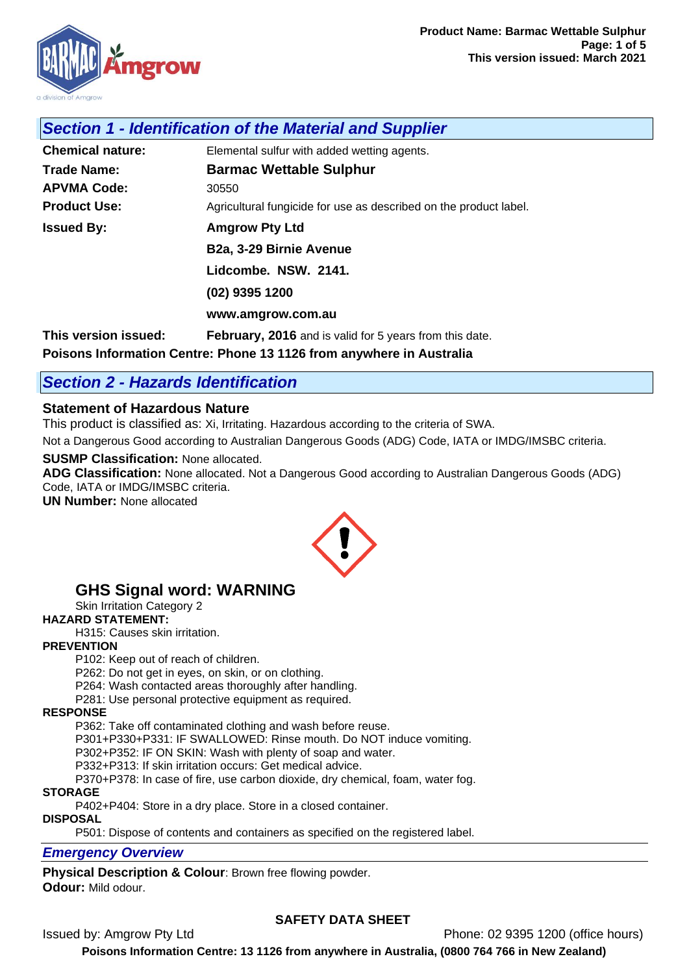

## *Section 1 - Identification of the Material and Supplier*

| <b>Chemical nature:</b> | Elemental sulfur with added wetting agents.                       |
|-------------------------|-------------------------------------------------------------------|
| <b>Trade Name:</b>      | <b>Barmac Wettable Sulphur</b>                                    |
| <b>APVMA Code:</b>      | 30550                                                             |
| <b>Product Use:</b>     | Agricultural fungicide for use as described on the product label. |
| <b>Issued By:</b>       | <b>Amgrow Pty Ltd</b>                                             |
|                         | B <sub>2a</sub> , 3-29 Birnie Avenue                              |
|                         | Lidcombe. NSW. 2141.                                              |
|                         | (02) 9395 1200                                                    |
|                         | www.amgrow.com.au                                                 |
| This version issued:    | <b>February, 2016</b> and is valid for 5 years from this date.    |

**Poisons Information Centre: Phone 13 1126 from anywhere in Australia**

## *Section 2 - Hazards Identification*

#### **Statement of Hazardous Nature**

This product is classified as: Xi, Irritating. Hazardous according to the criteria of SWA.

Not a Dangerous Good according to Australian Dangerous Goods (ADG) Code, IATA or IMDG/IMSBC criteria.

#### **SUSMP Classification:** None allocated.

**ADG Classification:** None allocated. Not a Dangerous Good according to Australian Dangerous Goods (ADG) Code, IATA or IMDG/IMSBC criteria.

**UN Number:** None allocated



## **GHS Signal word: WARNING**

Skin Irritation Category 2

## **HAZARD STATEMENT:**

H315: Causes skin irritation.

#### **PREVENTION**

P102: Keep out of reach of children.

P262: Do not get in eyes, on skin, or on clothing.

P264: Wash contacted areas thoroughly after handling.

P281: Use personal protective equipment as required.

#### **RESPONSE**

P362: Take off contaminated clothing and wash before reuse.

P301+P330+P331: IF SWALLOWED: Rinse mouth. Do NOT induce vomiting.

P302+P352: IF ON SKIN: Wash with plenty of soap and water.

P332+P313: If skin irritation occurs: Get medical advice.

P370+P378: In case of fire, use carbon dioxide, dry chemical, foam, water fog.

## **STORAGE**

P402+P404: Store in a dry place. Store in a closed container.

#### **DISPOSAL**

P501: Dispose of contents and containers as specified on the registered label.

#### *Emergency Overview*

**Physical Description & Colour**: Brown free flowing powder. **Odour:** Mild odour.

#### **SAFETY DATA SHEET**

Issued by: Amgrow Pty Ltd Phone: 02 9395 1200 (office hours)

**Poisons Information Centre: 13 1126 from anywhere in Australia, (0800 764 766 in New Zealand)**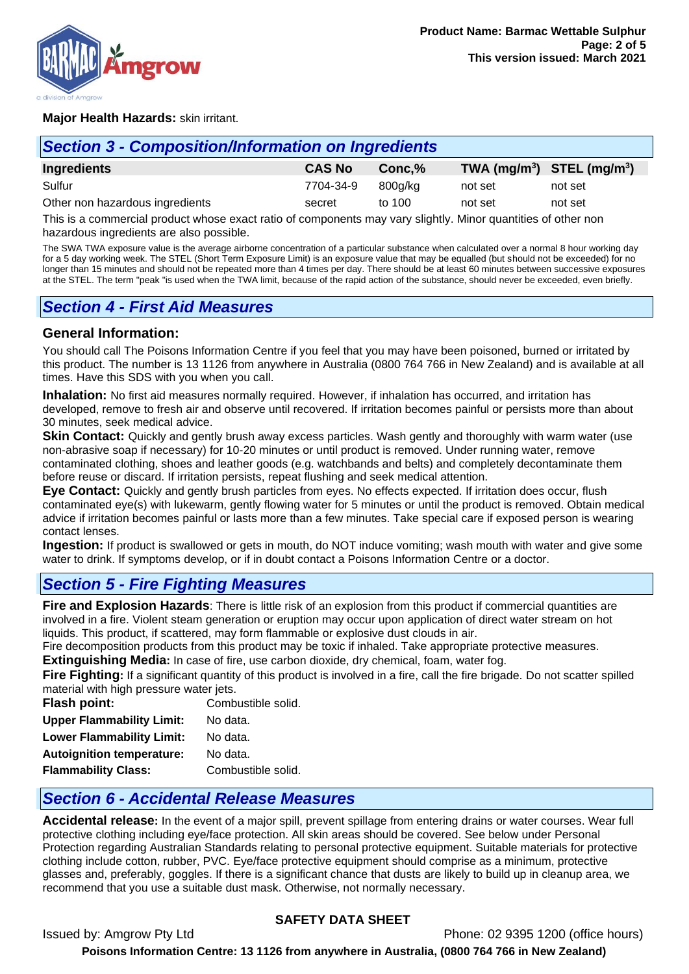

#### **Major Health Hazards:** skin irritant.

| <b>Section 3 - Composition/Information on Ingredients</b> |               |         |         |                                |
|-----------------------------------------------------------|---------------|---------|---------|--------------------------------|
| Ingredients                                               | <b>CAS No</b> | Conc.%  |         | TWA $(mg/m^3)$ STEL $(mg/m^3)$ |
| Sulfur                                                    | 7704-34-9     | 800a/ka | not set | not set                        |
| Other non hazardous ingredients                           | secret        | to 100  | not set | not set                        |

This is a commercial product whose exact ratio of components may vary slightly. Minor quantities of other non hazardous ingredients are also possible.

The SWA TWA exposure value is the average airborne concentration of a particular substance when calculated over a normal 8 hour working day for a 5 day working week. The STEL (Short Term Exposure Limit) is an exposure value that may be equalled (but should not be exceeded) for no longer than 15 minutes and should not be repeated more than 4 times per day. There should be at least 60 minutes between successive exposures at the STEL. The term "peak "is used when the TWA limit, because of the rapid action of the substance, should never be exceeded, even briefly.

## *Section 4 - First Aid Measures*

#### **General Information:**

You should call The Poisons Information Centre if you feel that you may have been poisoned, burned or irritated by this product. The number is 13 1126 from anywhere in Australia (0800 764 766 in New Zealand) and is available at all times. Have this SDS with you when you call.

**Inhalation:** No first aid measures normally required. However, if inhalation has occurred, and irritation has developed, remove to fresh air and observe until recovered. If irritation becomes painful or persists more than about 30 minutes, seek medical advice.

**Skin Contact:** Quickly and gently brush away excess particles. Wash gently and thoroughly with warm water (use non-abrasive soap if necessary) for 10-20 minutes or until product is removed. Under running water, remove contaminated clothing, shoes and leather goods (e.g. watchbands and belts) and completely decontaminate them before reuse or discard. If irritation persists, repeat flushing and seek medical attention.

**Eye Contact:** Quickly and gently brush particles from eyes. No effects expected. If irritation does occur, flush contaminated eye(s) with lukewarm, gently flowing water for 5 minutes or until the product is removed. Obtain medical advice if irritation becomes painful or lasts more than a few minutes. Take special care if exposed person is wearing contact lenses.

**Ingestion:** If product is swallowed or gets in mouth, do NOT induce vomiting; wash mouth with water and give some water to drink. If symptoms develop, or if in doubt contact a Poisons Information Centre or a doctor.

## *Section 5 - Fire Fighting Measures*

**Fire and Explosion Hazards**: There is little risk of an explosion from this product if commercial quantities are involved in a fire. Violent steam generation or eruption may occur upon application of direct water stream on hot liquids. This product, if scattered, may form flammable or explosive dust clouds in air.

Fire decomposition products from this product may be toxic if inhaled. Take appropriate protective measures.

**Extinguishing Media:** In case of fire, use carbon dioxide, dry chemical, foam, water fog.

**Fire Fighting:** If a significant quantity of this product is involved in a fire, call the fire brigade. Do not scatter spilled material with high pressure water jets.

| Flash point:                     | Combustible solid. |
|----------------------------------|--------------------|
| <b>Upper Flammability Limit:</b> | No data.           |
| <b>Lower Flammability Limit:</b> | No data.           |
| <b>Autoignition temperature:</b> | No data.           |
| <b>Flammability Class:</b>       | Combustible solid. |

## *Section 6 - Accidental Release Measures*

**Accidental release:** In the event of a major spill, prevent spillage from entering drains or water courses. Wear full protective clothing including eye/face protection. All skin areas should be covered. See below under Personal Protection regarding Australian Standards relating to personal protective equipment. Suitable materials for protective clothing include cotton, rubber, PVC. Eye/face protective equipment should comprise as a minimum, protective glasses and, preferably, goggles. If there is a significant chance that dusts are likely to build up in cleanup area, we recommend that you use a suitable dust mask. Otherwise, not normally necessary.

#### **SAFETY DATA SHEET**

Issued by: Amgrow Pty Ltd Phone: 02 9395 1200 (office hours)

**Poisons Information Centre: 13 1126 from anywhere in Australia, (0800 764 766 in New Zealand)**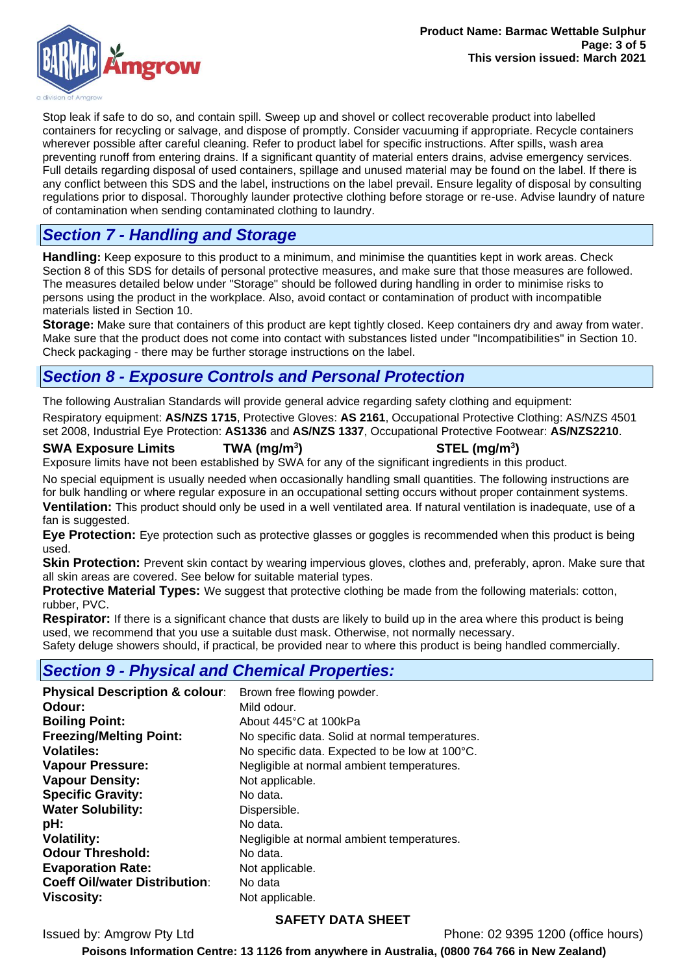

Stop leak if safe to do so, and contain spill. Sweep up and shovel or collect recoverable product into labelled containers for recycling or salvage, and dispose of promptly. Consider vacuuming if appropriate. Recycle containers wherever possible after careful cleaning. Refer to product label for specific instructions. After spills, wash area preventing runoff from entering drains. If a significant quantity of material enters drains, advise emergency services. Full details regarding disposal of used containers, spillage and unused material may be found on the label. If there is any conflict between this SDS and the label, instructions on the label prevail. Ensure legality of disposal by consulting regulations prior to disposal. Thoroughly launder protective clothing before storage or re-use. Advise laundry of nature of contamination when sending contaminated clothing to laundry.

## *Section 7 - Handling and Storage*

**Handling:** Keep exposure to this product to a minimum, and minimise the quantities kept in work areas. Check Section 8 of this SDS for details of personal protective measures, and make sure that those measures are followed. The measures detailed below under "Storage" should be followed during handling in order to minimise risks to persons using the product in the workplace. Also, avoid contact or contamination of product with incompatible materials listed in Section 10.

**Storage:** Make sure that containers of this product are kept tightly closed. Keep containers dry and away from water. Make sure that the product does not come into contact with substances listed under "Incompatibilities" in Section 10. Check packaging - there may be further storage instructions on the label.

## *Section 8 - Exposure Controls and Personal Protection*

The following Australian Standards will provide general advice regarding safety clothing and equipment: Respiratory equipment: **AS/NZS 1715**, Protective Gloves: **AS 2161**, Occupational Protective Clothing: AS/NZS 4501 set 2008, Industrial Eye Protection: **AS1336** and **AS/NZS 1337**, Occupational Protective Footwear: **AS/NZS2210**.

#### **SWA Exposure Limits TWA (mg/m<sup>3</sup>**

**) STEL (mg/m<sup>3</sup> )**

Exposure limits have not been established by SWA for any of the significant ingredients in this product.

No special equipment is usually needed when occasionally handling small quantities. The following instructions are for bulk handling or where regular exposure in an occupational setting occurs without proper containment systems. **Ventilation:** This product should only be used in a well ventilated area. If natural ventilation is inadequate, use of a fan is suggested.

**Eye Protection:** Eye protection such as protective glasses or goggles is recommended when this product is being used.

**Skin Protection:** Prevent skin contact by wearing impervious gloves, clothes and, preferably, apron. Make sure that all skin areas are covered. See below for suitable material types.

**Protective Material Types:** We suggest that protective clothing be made from the following materials: cotton, rubber, PVC.

**Respirator:** If there is a significant chance that dusts are likely to build up in the area where this product is being used, we recommend that you use a suitable dust mask. Otherwise, not normally necessary.

Safety deluge showers should, if practical, be provided near to where this product is being handled commercially.

## *Section 9 - Physical and Chemical Properties:*

| Brown free flowing powder.                      |
|-------------------------------------------------|
| Mild odour.                                     |
| About 445°C at 100kPa                           |
| No specific data. Solid at normal temperatures. |
| No specific data. Expected to be low at 100°C.  |
| Negligible at normal ambient temperatures.      |
| Not applicable.                                 |
| No data.                                        |
| Dispersible.                                    |
| No data.                                        |
| Negligible at normal ambient temperatures.      |
| No data.                                        |
| Not applicable.                                 |
| No data                                         |
| Not applicable.                                 |
|                                                 |

## **SAFETY DATA SHEET**

Issued by: Amgrow Pty Ltd Phone: 02 9395 1200 (office hours)

**Poisons Information Centre: 13 1126 from anywhere in Australia, (0800 764 766 in New Zealand)**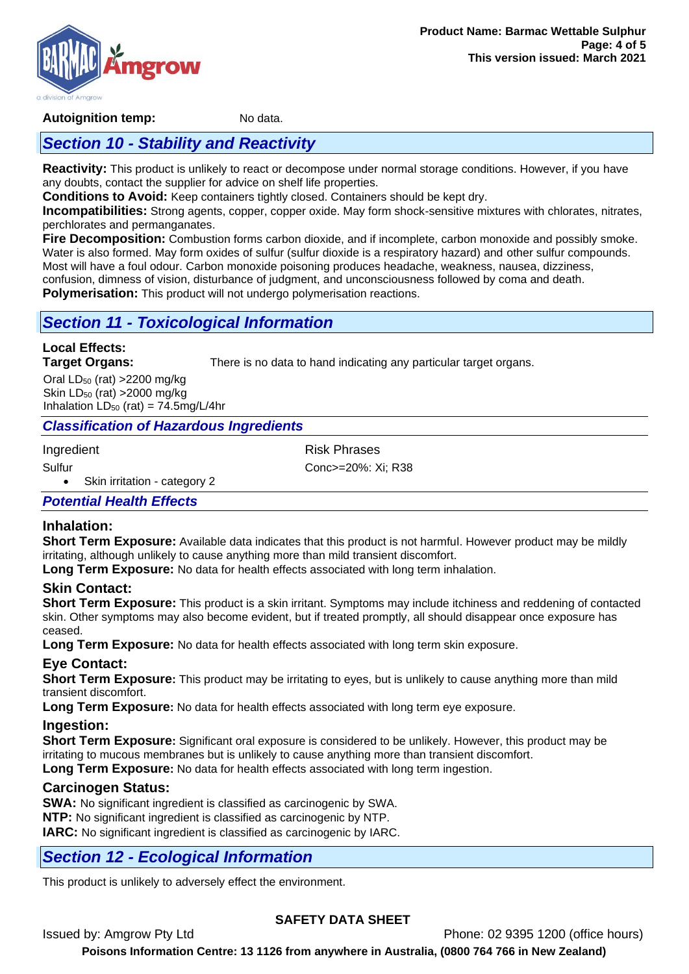

#### **Autoignition temp:** No data.

## *Section 10 - Stability and Reactivity*

**Reactivity:** This product is unlikely to react or decompose under normal storage conditions. However, if you have any doubts, contact the supplier for advice on shelf life properties.

**Conditions to Avoid:** Keep containers tightly closed. Containers should be kept dry.

**Incompatibilities:** Strong agents, copper, copper oxide. May form shock-sensitive mixtures with chlorates, nitrates, perchlorates and permanganates.

**Fire Decomposition:** Combustion forms carbon dioxide, and if incomplete, carbon monoxide and possibly smoke. Water is also formed. May form oxides of sulfur (sulfur dioxide is a respiratory hazard) and other sulfur compounds. Most will have a foul odour. Carbon monoxide poisoning produces headache, weakness, nausea, dizziness, confusion, dimness of vision, disturbance of judgment, and unconsciousness followed by coma and death. **Polymerisation:** This product will not undergo polymerisation reactions.

## *Section 11 - Toxicological Information*

# **Local Effects:**

**Target Organs:** There is no data to hand indicating any particular target organs.

Oral  $LD_{50}$  (rat) > 2200 mg/kg Skin  $LD_{50}$  (rat) > 2000 mg/kg Inhalation  $LD_{50}$  (rat) = 74.5mg/L/4hr

## *Classification of Hazardous Ingredients*

Ingredient **Risk Phrases** 

Sulfur Conc>=20%: Xi; R38

• Skin irritation - category 2

## *Potential Health Effects*

## **Inhalation:**

**Short Term Exposure:** Available data indicates that this product is not harmful. However product may be mildly irritating, although unlikely to cause anything more than mild transient discomfort.

**Long Term Exposure:** No data for health effects associated with long term inhalation.

## **Skin Contact:**

**Short Term Exposure:** This product is a skin irritant. Symptoms may include itchiness and reddening of contacted skin. Other symptoms may also become evident, but if treated promptly, all should disappear once exposure has ceased.

**Long Term Exposure:** No data for health effects associated with long term skin exposure.

## **Eye Contact:**

**Short Term Exposure:** This product may be irritating to eyes, but is unlikely to cause anything more than mild transient discomfort.

**Long Term Exposure:** No data for health effects associated with long term eye exposure.

## **Ingestion:**

**Short Term Exposure:** Significant oral exposure is considered to be unlikely. However, this product may be irritating to mucous membranes but is unlikely to cause anything more than transient discomfort. **Long Term Exposure:** No data for health effects associated with long term ingestion.

## **Carcinogen Status:**

**SWA:** No significant ingredient is classified as carcinogenic by SWA. **NTP:** No significant ingredient is classified as carcinogenic by NTP. **IARC:** No significant ingredient is classified as carcinogenic by IARC.

## *Section 12 - Ecological Information*

This product is unlikely to adversely effect the environment.

## **SAFETY DATA SHEET**

Issued by: Amgrow Pty Ltd Phone: 02 9395 1200 (office hours) **Poisons Information Centre: 13 1126 from anywhere in Australia, (0800 764 766 in New Zealand)**